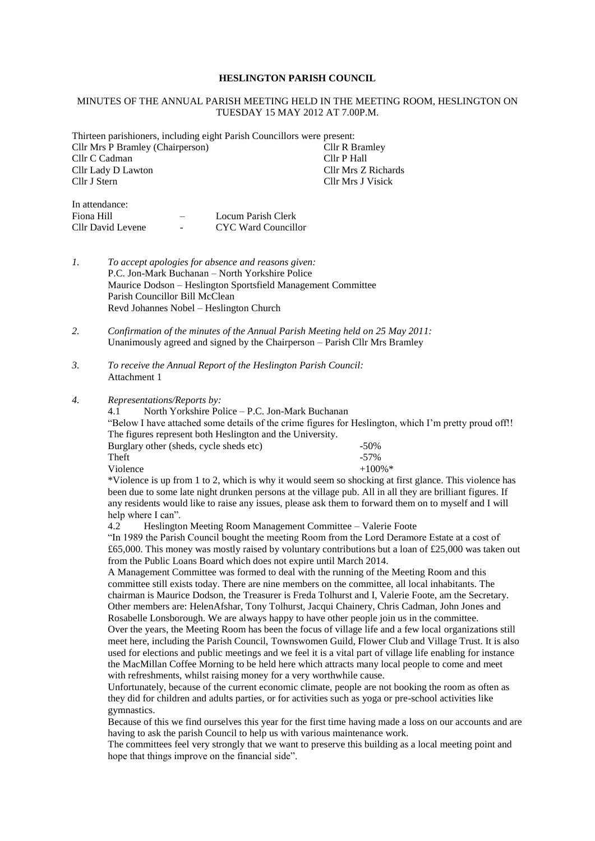### **HESLINGTON PARISH COUNCIL**

### MINUTES OF THE ANNUAL PARISH MEETING HELD IN THE MEETING ROOM, HESLINGTON ON TUESDAY 15 MAY 2012 AT 7.00P.M.

Thirteen parishioners, including eight Parish Councillors were present:

| Cllr Mrs P Bramley (Chairperson) | Cllr R Bramley      |
|----------------------------------|---------------------|
| Cllr C Cadman                    | Cllr P Hall         |
| Cllr Lady D Lawton               | Cllr Mrs Z Richards |
| Cllr J Stern                     | Cllr Mrs J Visick   |
|                                  |                     |

| In attendance:    |                          |                     |
|-------------------|--------------------------|---------------------|
| Fiona Hill        |                          | Locum Parish Clerk  |
| Cllr David Levene | $\overline{\phantom{a}}$ | CYC Ward Councillor |

- *1. To accept apologies for absence and reasons given:* P.C. Jon-Mark Buchanan – North Yorkshire Police Maurice Dodson – Heslington Sportsfield Management Committee Parish Councillor Bill McClean Revd Johannes Nobel – Heslington Church
- *2. Confirmation of the minutes of the Annual Parish Meeting held on 25 May 2011:* Unanimously agreed and signed by the Chairperson – Parish Cllr Mrs Bramley
- *3. To receive the Annual Report of the Heslington Parish Council:* Attachment 1
- *4. Representations/Reports by:*

4.1 North Yorkshire Police – P.C. Jon-Mark Buchanan "Below I have attached some details of the crime figures for Heslington, which I'm pretty proud off!! The figures represent both Heslington and the University.

| Burglary other (sheds, cycle sheds etc) | $-50\%$               |
|-----------------------------------------|-----------------------|
| Theft                                   | $-57\%$               |
| Violence                                | $+100\%$ <sup>*</sup> |
|                                         |                       |

\*Violence is up from 1 to 2, which is why it would seem so shocking at first glance. This violence has been due to some late night drunken persons at the village pub. All in all they are brilliant figures. If any residents would like to raise any issues, please ask them to forward them on to myself and I will help where I can".

4.2 Heslington Meeting Room Management Committee – Valerie Foote

"In 1989 the Parish Council bought the meeting Room from the Lord Deramore Estate at a cost of £65,000. This money was mostly raised by voluntary contributions but a loan of £25,000 was taken out from the Public Loans Board which does not expire until March 2014.

A Management Committee was formed to deal with the running of the Meeting Room and this committee still exists today. There are nine members on the committee, all local inhabitants. The chairman is Maurice Dodson, the Treasurer is Freda Tolhurst and I, Valerie Foote, am the Secretary. Other members are: HelenAfshar, Tony Tolhurst, Jacqui Chainery, Chris Cadman, John Jones and Rosabelle Lonsborough. We are always happy to have other people join us in the committee. Over the years, the Meeting Room has been the focus of village life and a few local organizations still

meet here, including the Parish Council, Townswomen Guild, Flower Club and Village Trust. It is also used for elections and public meetings and we feel it is a vital part of village life enabling for instance the MacMillan Coffee Morning to be held here which attracts many local people to come and meet with refreshments, whilst raising money for a very worthwhile cause.

Unfortunately, because of the current economic climate, people are not booking the room as often as they did for children and adults parties, or for activities such as yoga or pre-school activities like gymnastics.

Because of this we find ourselves this year for the first time having made a loss on our accounts and are having to ask the parish Council to help us with various maintenance work.

The committees feel very strongly that we want to preserve this building as a local meeting point and hope that things improve on the financial side".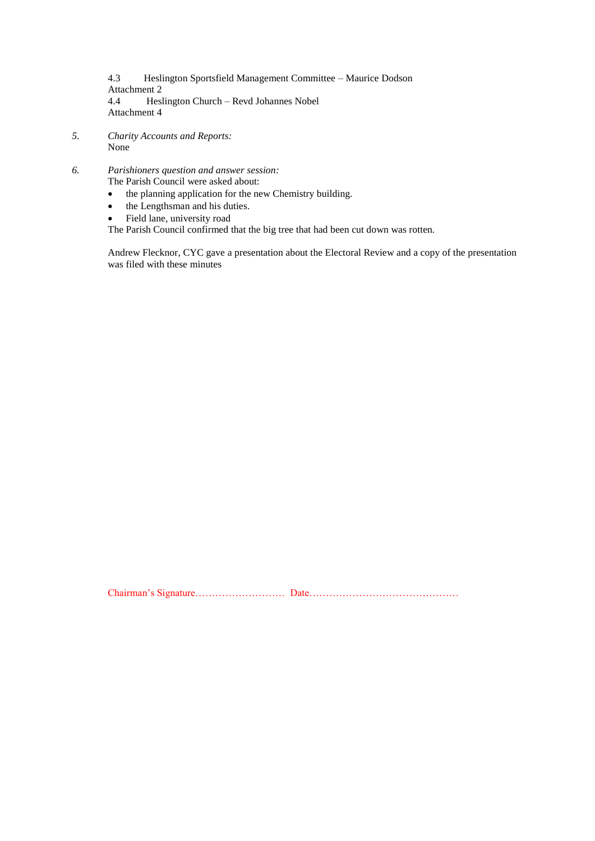4.3 Heslington Sportsfield Management Committee – Maurice Dodson Attachment 2 4.4 Heslington Church – Revd Johannes Nobel Attachment 4

- *5. Charity Accounts and Reports:* None
- *6. Parishioners question and answer session:* The Parish Council were asked about:
	- the planning application for the new Chemistry building.
	- the Lengthsman and his duties.
	- Field lane, university road

The Parish Council confirmed that the big tree that had been cut down was rotten.

Andrew Flecknor, CYC gave a presentation about the Electoral Review and a copy of the presentation was filed with these minutes

Chairman's Signature……………………… Date………………………………………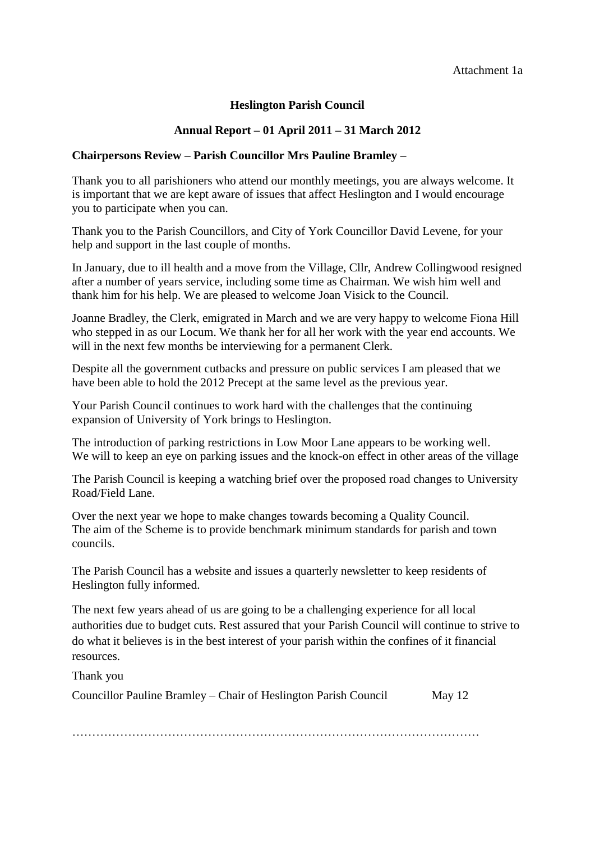# Attachment 1a

# **Heslington Parish Council**

# **Annual Report – 01 April 2011 – 31 March 2012**

# **Chairpersons Review – Parish Councillor Mrs Pauline Bramley –**

Thank you to all parishioners who attend our monthly meetings, you are always welcome. It is important that we are kept aware of issues that affect Heslington and I would encourage you to participate when you can.

Thank you to the Parish Councillors, and City of York Councillor David Levene, for your help and support in the last couple of months.

In January, due to ill health and a move from the Village, Cllr, Andrew Collingwood resigned after a number of years service, including some time as Chairman. We wish him well and thank him for his help. We are pleased to welcome Joan Visick to the Council.

Joanne Bradley, the Clerk, emigrated in March and we are very happy to welcome Fiona Hill who stepped in as our Locum. We thank her for all her work with the year end accounts. We will in the next few months be interviewing for a permanent Clerk.

Despite all the government cutbacks and pressure on public services I am pleased that we have been able to hold the 2012 Precept at the same level as the previous year.

Your Parish Council continues to work hard with the challenges that the continuing expansion of University of York brings to Heslington.

The introduction of parking restrictions in Low Moor Lane appears to be working well. We will to keep an eye on parking issues and the knock-on effect in other areas of the village

The Parish Council is keeping a watching brief over the proposed road changes to University Road/Field Lane.

Over the next year we hope to make changes towards becoming a Quality Council. The aim of the Scheme is to provide benchmark minimum standards for parish and town councils.

The Parish Council has a website and issues a quarterly newsletter to keep residents of Heslington fully informed.

The next few years ahead of us are going to be a challenging experience for all local authorities due to budget cuts. Rest assured that your Parish Council will continue to strive to do what it believes is in the best interest of your parish within the confines of it financial resources.

Thank you

| Councillor Pauline Bramley – Chair of Heslington Parish Council | May $12$ |
|-----------------------------------------------------------------|----------|
|                                                                 |          |

…………………………………………………………………………………………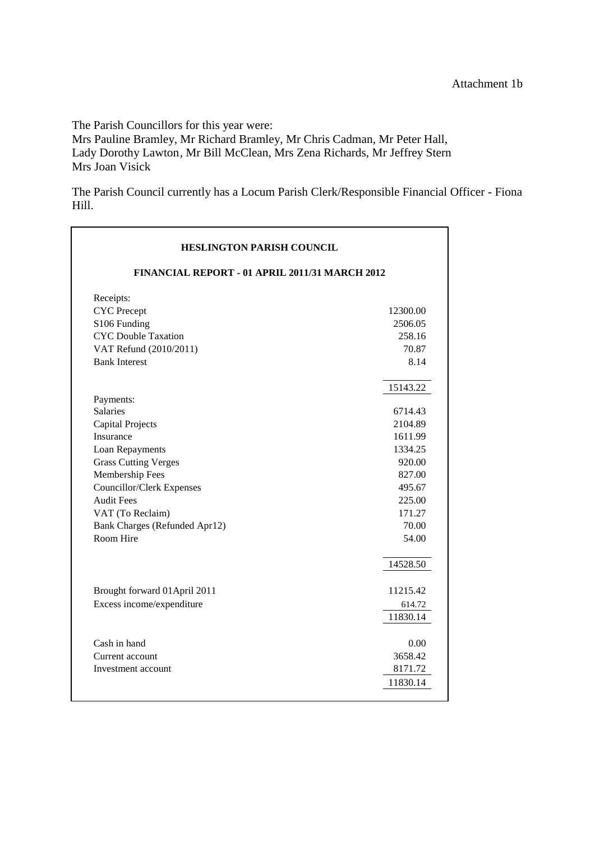$\overline{\phantom{a}}$ 

The Parish Councillors for this year were:

Mrs Pauline Bramley, Mr Richard Bramley, Mr Chris Cadman, Mr Peter Hall, Lady Dorothy Lawton, Mr Bill McClean, Mrs Zena Richards, Mr Jeffrey Stern Mrs Joan Visick

The Parish Council currently has a Locum Parish Clerk/Responsible Financial Officer - Fiona Hill.

| <b>HESLINGTON PARISH COUNCIL</b>               |                   |  |  |
|------------------------------------------------|-------------------|--|--|
| FINANCIAL REPORT - 01 APRIL 2011/31 MARCH 2012 |                   |  |  |
| Receipts:<br><b>CYC</b> Precept                | 12300.00          |  |  |
| S106 Funding<br><b>CYC</b> Double Taxation     | 2506.05<br>258.16 |  |  |
| VAT Refund (2010/2011)                         | 70.87             |  |  |
| <b>Bank Interest</b>                           | 8.14              |  |  |
|                                                | 15143.22          |  |  |
| Payments:<br>Salaries                          | 6714.43           |  |  |
| <b>Capital Projects</b>                        | 2104.89           |  |  |
| Insurance                                      | 1611.99           |  |  |
| Loan Repayments                                | 1334.25           |  |  |
| <b>Grass Cutting Verges</b>                    | 920.00            |  |  |
| Membership Fees                                | 827.00            |  |  |
| Councillor/Clerk Expenses                      | 495.67            |  |  |
| <b>Audit Fees</b>                              | 225.00            |  |  |
| VAT (To Reclaim)                               | 171.27            |  |  |
| Bank Charges (Refunded Apr12)                  | 70.00             |  |  |
| Room Hire                                      | 54.00             |  |  |
|                                                | 14528.50          |  |  |
| Brought forward 01 April 2011                  | 11215.42          |  |  |
| Excess income/expenditure                      | 614.72            |  |  |
|                                                | 11830.14          |  |  |
| Cash in hand                                   | 0.00              |  |  |
| Current account                                | 3658.42           |  |  |
| Investment account                             | 8171.72           |  |  |
|                                                | 11830.14          |  |  |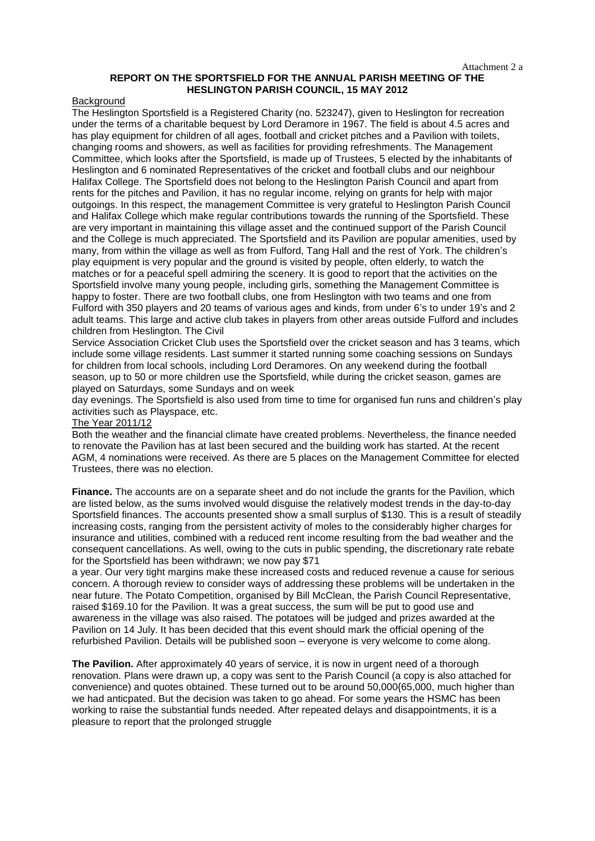#### Attachment 2 a

## **REPORT ON THE SPORTSFIELD FOR THE ANNUAL PARISH MEETING OF THE HESLINGTON PARISH COUNCIL, 15 MAY 2012**

### Background

The Heslington Sportsfield is a Registered Charity (no. 523247), given to Heslington for recreation under the terms of a charitable bequest by Lord Deramore in 1967. The field is about 4.5 acres and has play equipment for children of all ages, football and cricket pitches and a Pavilion with toilets, changing rooms and showers, as well as facilities for providing refreshments. The Management Committee, which looks after the Sportsfield, is made up of Trustees, 5 elected by the inhabitants of Heslington and 6 nominated Representatives of the cricket and football clubs and our neighbour Halifax College. The Sportsfield does not belong to the Heslington Parish Council and apart from rents for the pitches and Pavilion, it has no regular income, relying on grants for help with major outgoings. In this respect, the management Committee is very grateful to Heslington Parish Council and Halifax College which make regular contributions towards the running of the Sportsfield. These are very important in maintaining this village asset and the continued support of the Parish Council and the College is much appreciated. The Sportsfield and its Pavilion are popular amenities, used by many, from within the village as well as from Fulford, Tang Hall and the rest of York. The children's play equipment is very popular and the ground is visited by people, often elderly, to watch the matches or for a peaceful spell admiring the scenery. It is good to report that the activities on the Sportsfield involve many young people, including girls, something the Management Committee is happy to foster. There are two football clubs, one from Heslington with two teams and one from Fulford with 350 players and 20 teams of various ages and kinds, from under 6's to under 19's and 2 adult teams. This large and active club takes in players from other areas outside Fulford and includes children from Heslington. The Civil

Service Association Cricket Club uses the Sportsfield over the cricket season and has 3 teams, which include some village residents. Last summer it started running some coaching sessions on Sundays for children from local schools, including Lord Deramores. On any weekend during the football season, up to 50 or more children use the Sportsfield, while during the cricket season, games are played on Saturdays, some Sundays and on week

day evenings. The Sportsfield is also used from time to time for organised fun runs and children's play activities such as Playspace, etc.

### The Year 2011/12

Both the weather and the financial climate have created problems. Nevertheless, the finance needed to renovate the Pavilion has at last been secured and the building work has started. At the recent AGM, 4 nominations were received. As there are 5 places on the Management Committee for elected Trustees, there was no election.

**Finance.** The accounts are on a separate sheet and do not include the grants for the Pavilion, which are listed below, as the sums involved would disguise the relatively modest trends in the day-to-day Sportsfield finances. The accounts presented show a small surplus of \$130. This is a result of steadily increasing costs, ranging from the persistent activity of moles to the considerably higher charges for insurance and utilities, combined with a reduced rent income resulting from the bad weather and the consequent cancellations. As well, owing to the cuts in public spending, the discretionary rate rebate for the Sportsfield has been withdrawn; we now pay \$71

a year. Our very tight margins make these increased costs and reduced revenue a cause for serious concern. A thorough review to consider ways of addressing these problems will be undertaken in the near future. The Potato Competition, organised by Bill McClean, the Parish Council Representative, raised \$169.10 for the Pavilion. It was a great success, the sum will be put to good use and awareness in the village was also raised. The potatoes will be judged and prizes awarded at the Pavilion on 14 July. It has been decided that this event should mark the official opening of the refurbished Pavilion. Details will be published soon – everyone is very welcome to come along.

**The Pavilion.** After approximately 40 years of service, it is now in urgent need of a thorough renovation. Plans were drawn up, a copy was sent to the Parish Council (a copy is also attached for convenience) and quotes obtained. These turned out to be around 50,000{65,000, much higher than we had anticpated. But the decision was taken to go ahead. For some years the HSMC has been working to raise the substantial funds needed. After repeated delays and disappointments, it is a pleasure to report that the prolonged struggle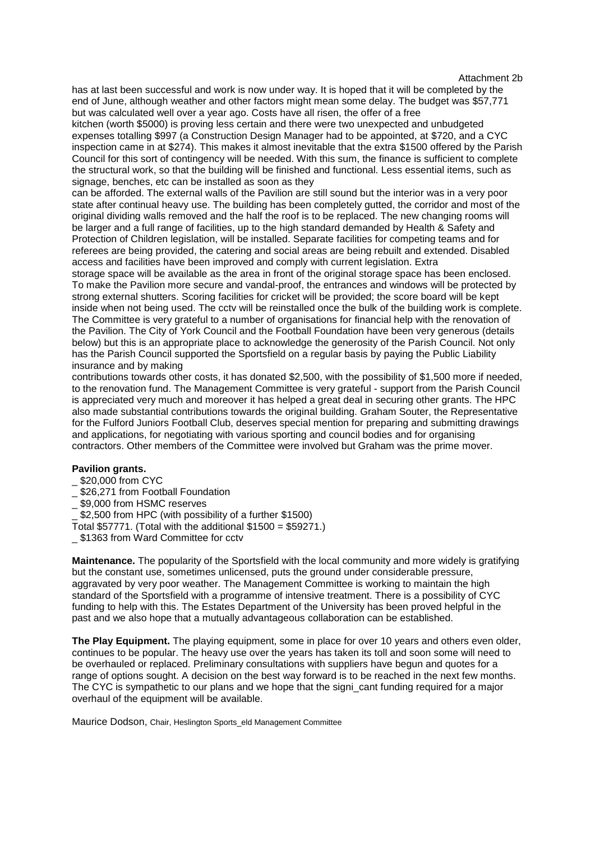Attachment 2b

has at last been successful and work is now under way. It is hoped that it will be completed by the end of June, although weather and other factors might mean some delay. The budget was \$57,771 but was calculated well over a year ago. Costs have all risen, the offer of a free

kitchen (worth \$5000) is proving less certain and there were two unexpected and unbudgeted expenses totalling \$997 (a Construction Design Manager had to be appointed, at \$720, and a CYC inspection came in at \$274). This makes it almost inevitable that the extra \$1500 offered by the Parish Council for this sort of contingency will be needed. With this sum, the finance is sufficient to complete the structural work, so that the building will be finished and functional. Less essential items, such as signage, benches, etc can be installed as soon as they

can be afforded. The external walls of the Pavilion are still sound but the interior was in a very poor state after continual heavy use. The building has been completely gutted, the corridor and most of the original dividing walls removed and the half the roof is to be replaced. The new changing rooms will be larger and a full range of facilities, up to the high standard demanded by Health & Safety and Protection of Children legislation, will be installed. Separate facilities for competing teams and for referees are being provided, the catering and social areas are being rebuilt and extended. Disabled access and facilities have been improved and comply with current legislation. Extra

storage space will be available as the area in front of the original storage space has been enclosed. To make the Pavilion more secure and vandal-proof, the entrances and windows will be protected by strong external shutters. Scoring facilities for cricket will be provided; the score board will be kept inside when not being used. The cctv will be reinstalled once the bulk of the building work is complete. The Committee is very grateful to a number of organisations for financial help with the renovation of the Pavilion. The City of York Council and the Football Foundation have been very generous (details below) but this is an appropriate place to acknowledge the generosity of the Parish Council. Not only has the Parish Council supported the Sportsfield on a regular basis by paying the Public Liability insurance and by making

contributions towards other costs, it has donated \$2,500, with the possibility of \$1,500 more if needed, to the renovation fund. The Management Committee is very grateful - support from the Parish Council is appreciated very much and moreover it has helped a great deal in securing other grants. The HPC also made substantial contributions towards the original building. Graham Souter, the Representative for the Fulford Juniors Football Club, deserves special mention for preparing and submitting drawings and applications, for negotiating with various sporting and council bodies and for organising contractors. Other members of the Committee were involved but Graham was the prime mover.

## **Pavilion grants.**

- \_ \$20,000 from CYC
- \_ \$26,271 from Football Foundation
- \_ \$9,000 from HSMC reserves
- \$2,500 from HPC (with possibility of a further \$1500)
- Total \$57771. (Total with the additional \$1500 = \$59271.)
- \_ \$1363 from Ward Committee for cctv

**Maintenance.** The popularity of the Sportsfield with the local community and more widely is gratifying but the constant use, sometimes unlicensed, puts the ground under considerable pressure, aggravated by very poor weather. The Management Committee is working to maintain the high standard of the Sportsfield with a programme of intensive treatment. There is a possibility of CYC funding to help with this. The Estates Department of the University has been proved helpful in the past and we also hope that a mutually advantageous collaboration can be established.

**The Play Equipment.** The playing equipment, some in place for over 10 years and others even older, continues to be popular. The heavy use over the years has taken its toll and soon some will need to be overhauled or replaced. Preliminary consultations with suppliers have begun and quotes for a range of options sought. A decision on the best way forward is to be reached in the next few months. The CYC is sympathetic to our plans and we hope that the signi cant funding required for a major overhaul of the equipment will be available.

Maurice Dodson, Chair, Heslington Sports\_eld Management Committee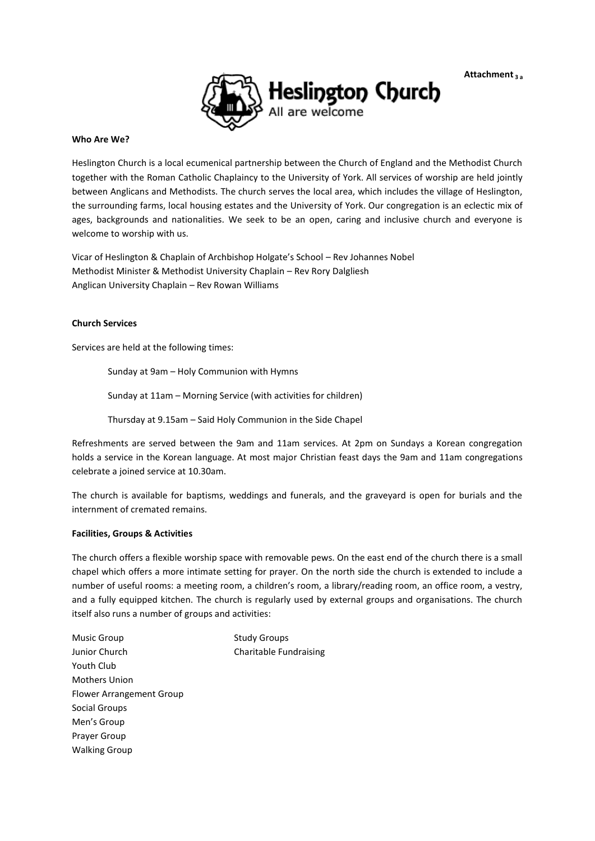**Attachment <sup>3</sup> <sup>a</sup>**



### **Who Are We?**

Heslington Church is a local ecumenical partnership between the Church of England and the Methodist Church together with the Roman Catholic Chaplaincy to the University of York. All services of worship are held jointly between Anglicans and Methodists. The church serves the local area, which includes the village of Heslington, the surrounding farms, local housing estates and the University of York. Our congregation is an eclectic mix of ages, backgrounds and nationalities. We seek to be an open, caring and inclusive church and everyone is welcome to worship with us.

Vicar of Heslington & Chaplain of Archbishop Holgate's School – Rev Johannes Nobel Methodist Minister & Methodist University Chaplain – Rev Rory Dalgliesh Anglican University Chaplain – Rev Rowan Williams

### **Church Services**

Services are held at the following times:

Sunday at 9am – Holy Communion with Hymns Sunday at 11am – Morning Service (with activities for children)

Thursday at 9.15am – Said Holy Communion in the Side Chapel

Refreshments are served between the 9am and 11am services. At 2pm on Sundays a Korean congregation holds a service in the Korean language. At most major Christian feast days the 9am and 11am congregations celebrate a joined service at 10.30am.

The church is available for baptisms, weddings and funerals, and the graveyard is open for burials and the internment of cremated remains.

### **Facilities, Groups & Activities**

The church offers a flexible worship space with removable pews. On the east end of the church there is a small chapel which offers a more intimate setting for prayer. On the north side the church is extended to include a number of useful rooms: a meeting room, a children's room, a library/reading room, an office room, a vestry, and a fully equipped kitchen. The church is regularly used by external groups and organisations. The church itself also runs a number of groups and activities:

Music Group Junior Church Youth Club Mothers Union Flower Arrangement Group Social Groups Men's Group Prayer Group Walking Group Study Groups Charitable Fundraising